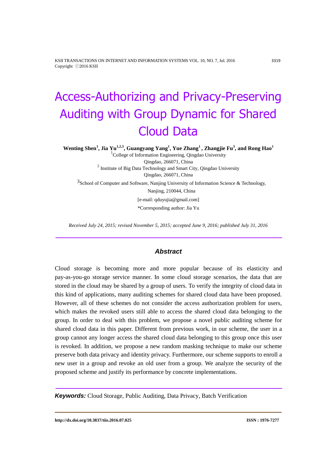KSII TRANSACTIONS ON INTERNET AND INFORMATION SYSTEMS VOL. 10, NO. 7, Jul. 2016 3319 Copyright ⓒ2016 KSII

# Access-Authorizing and Privacy-Preserving Auditing with Group Dynamic for Shared Cloud Data

**Wenting Shen<sup>1</sup> , Jia Yu1,2,3, Guangyang Yang<sup>1</sup> , Yue Zhang<sup>1</sup> , Zhangjie Fu<sup>3</sup> , and Rong Hao<sup>1</sup>**

<sup>1</sup>College of Information Engineering, Qingdao University Qingdao, 266071, China <sup>2</sup> Institute of Big Data Technology and Smart City, Qingdao University Qingdao, 266071, China  $3$ School of Computer and Software, Nanjing University of Information Science & Technology, Nanjing, 210044, China [e-mail: qduyujia@gmail.com] \*Corresponding author: Jia Yu

*Received July 24, 2015; revised November 5, 2015; accepted June 9, 2016; published July 31, 2016*

# *Abstract*

Cloud storage is becoming more and more popular because of its elasticity and pay-as-you-go storage service manner. In some cloud storage scenarios, the data that are stored in the cloud may be shared by a group of users. To verify the integrity of cloud data in this kind of applications, many auditing schemes for shared cloud data have been proposed. However, all of these schemes do not consider the access authorization problem for users, which makes the revoked users still able to access the shared cloud data belonging to the group. In order to deal with this problem, we propose a novel public auditing scheme for shared cloud data in this paper. Different from previous work, in our scheme, the user in a group cannot any longer access the shared cloud data belonging to this group once this user is revoked. In addition, we propose a new random masking technique to make our scheme preserve both data privacy and identity privacy. Furthermore, our scheme supports to enroll a new user in a group and revoke an old user from a group. We analyze the security of the proposed scheme and justify its performance by concrete implementations.

*Keywords:* Cloud Storage, Public Auditing, Data Privacy, Batch Verification

**http://dx.doi.org/10.3837/tiis.2016.07.025 ISSN : 1976-7277**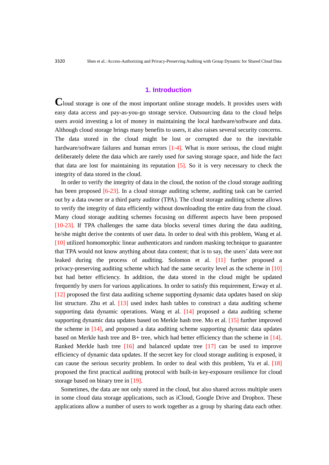## **1. Introduction**

**C**loud storage is one of the most important online storage models. It provides users with easy data access and pay-as-you-go storage service. Outsourcing data to the cloud helps users avoid investing a lot of money in maintaining the local hardware/software and data. Although cloud storage brings many benefits to users, it also raises several security concerns. The data stored in the cloud might be lost or corrupted due to the inevitable hardware/software failures and human errors [1-4]. What is more serious, the cloud might deliberately delete the data which are rarely used for saving storage space, and hide the fact that data are lost for maintaining its reputation [5]. So it is very necessary to check the integrity of data stored in the cloud.

In order to verify the integrity of data in the cloud, the notion of the cloud storage auditing has been proposed [6-23]. In a cloud storage auditing scheme, auditing task can be carried out by a data owner or a third party auditor (TPA). The cloud storage auditing scheme allows to verify the integrity of data efficiently without downloading the entire data from the cloud. Many cloud storage auditing schemes focusing on different aspects have been proposed [10-23]. If TPA challenges the same data blocks several times during the data auditing, he/she might derive the contents of user data. In order to deal with this problem, Wang et al. [10] utilized homomorphic linear authenticators and random masking technique to guarantee that TPA would not know anything about data content; that is to say, the users' data were not leaked during the process of auditing. Solomon et al. [11] further proposed a privacy-preserving auditing scheme which had the same security level as the scheme in [10] but had better efficiency. In addition, the data stored in the cloud might be updated frequently by users for various applications. In order to satisfy this requirement, Erway et al. [12] proposed the first data auditing scheme supporting dynamic data updates based on skip list structure. Zhu et al. [13] used index hash tables to construct a data auditing scheme supporting data dynamic operations. Wang et al. [14] proposed a data auditing scheme supporting dynamic data updates based on Merkle hash tree. Mo et al. [15] further improved the scheme in [14], and proposed a data auditing scheme supporting dynamic data updates based on Merkle hash tree and  $B+$  tree, which had better efficiency than the scheme in [14]. Ranked Merkle hash tree [16] and balanced update tree [17] can be used to improve efficiency of dynamic data updates. If the secret key for cloud storage auditing is exposed, it can cause the serious security problem. In order to deal with this problem, Yu et al. [18] proposed the first practical auditing protocol with built-in key-exposure resilience for cloud storage based on binary tree in [19].

Sometimes, the data are not only stored in the cloud, but also shared across multiple users in some cloud data storage applications, such as iCloud, Google Drive and Dropbox. These applications allow a number of users to work together as a group by sharing data each other.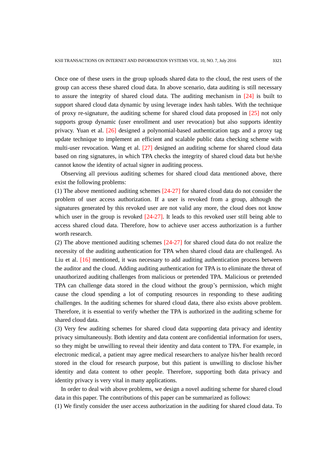Once one of these users in the group uploads shared data to the cloud, the rest users of the group can access these shared cloud data. In above scenario, data auditing is still necessary to assure the integrity of shared cloud data. The auditing mechanism in [24] is built to support shared cloud data dynamic by using leverage index hash tables. With the technique of proxy re-signature, the auditing scheme for shared cloud data proposed in [25] not only supports group dynamic (user enrollment and user revocation) but also supports identity privacy. Yuan et al. [26] designed a polynomial-based authentication tags and a proxy tag update technique to implement an efficient and scalable public data checking scheme with multi-user revocation. Wang et al. [27] designed an auditing scheme for shared cloud data based on ring signatures, in which TPA checks the integrity of shared cloud data but he/she cannot know the identity of actual signer in auditing process.

Observing all previous auditing schemes for shared cloud data mentioned above, there exist the following problems:

(1) The above mentioned auditing schemes [24-27] for shared cloud data do not consider the problem of user access authorization. If a user is revoked from a group, although the signatures generated by this revoked user are not valid any more, the cloud does not know which user in the group is revoked  $[24-27]$ . It leads to this revoked user still being able to access shared cloud data. Therefore, how to achieve user access authorization is a further worth research.

(2) The above mentioned auditing schemes [24-27] for shared cloud data do not realize the necessity of the auditing authentication for TPA when shared cloud data are challenged. As Liu et al. [16] mentioned, it was necessary to add auditing authentication process between the auditor and the cloud. Adding auditing authentication for TPA is to eliminate the threat of unauthorized auditing challenges from malicious or pretended TPA. Malicious or pretended TPA can challenge data stored in the cloud without the group's permission, which might cause the cloud spending a lot of computing resources in responding to these auditing challenges. In the auditing schemes for shared cloud data, there also exists above problem. Therefore, it is essential to verify whether the TPA is authorized in the auditing scheme for shared cloud data.

(3) Very few auditing schemes for shared cloud data supporting data privacy and identity privacy simultaneously. Both identity and data content are confidential information for users, so they might be unwilling to reveal their identity and data content to TPA. For example, in electronic medical, a patient may agree medical researchers to analyze his/her health record stored in the cloud for research purpose, but this patient is unwilling to disclose his/her identity and data content to other people. Therefore, supporting both data privacy and identity privacy is very vital in many applications.

In order to deal with above problems, we design a novel auditing scheme for shared cloud data in this paper. The contributions of this paper can be summarized as follows:

(1) We firstly consider the user access authorization in the auditing for shared cloud data. To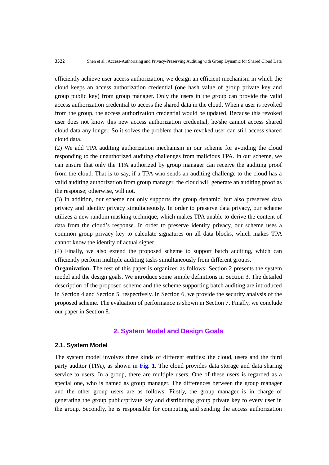efficiently achieve user access authorization, we design an efficient mechanism in which the cloud keeps an access authorization credential (one hash value of group private key and group public key) from group manager. Only the users in the group can provide the valid access authorization credential to access the shared data in the cloud. When a user is revoked from the group, the access authorization credential would be updated. Because this revoked user does not know this new access authorization credential, he/she cannot access shared cloud data any longer. So it solves the problem that the revoked user can still access shared cloud data.

(2) We add TPA auditing authorization mechanism in our scheme for avoiding the cloud responding to the unauthorized auditing challenges from malicious TPA. In our scheme, we can ensure that only the TPA authorized by group manager can receive the auditing proof from the cloud. That is to say, if a TPA who sends an auditing challenge to the cloud has a valid auditing authorization from group manager, the cloud will generate an auditing proof as the response; otherwise, will not.

(3) In addition, our scheme not only supports the group dynamic, but also preserves data privacy and identity privacy simultaneously. In order to preserve data privacy, our scheme utilizes a new random masking technique, which makes TPA unable to derive the content of data from the cloud's response. In order to preserve identity privacy, our scheme uses a common group privacy key to calculate signatures on all data blocks, which makes TPA cannot know the identity of actual signer.

(4) Finally, we also extend the proposed scheme to support batch auditing, which can efficiently perform multiple auditing tasks simultaneously from different groups.

**Organization.** The rest of this paper is organized as follows: Section 2 presents the system model and the design goals. We introduce some simple definitions in Section 3. The detailed description of the proposed scheme and the scheme supporting batch auditing are introduced in Section 4 and Section 5, respectively. In Section 6, we provide the security analysis of the proposed scheme. The evaluation of performance is shown in Section 7. Finally, we conclude our paper in Section 8.

# **2. System Model and Design Goals**

#### **2.1. System Model**

The system model involves three kinds of different entities: the cloud, users and the third party auditor (TPA), as shown in **Fig. 1**. The cloud provides data storage and data sharing service to users. In a group, there are multiple users. One of these users is regarded as a special one, who is named as group manager. The differences between the group manager and the other group users are as follows: Firstly, the group manager is in charge of generating the group public/private key and distributing group private key to every user in the group. Secondly, he is responsible for computing and sending the access authorization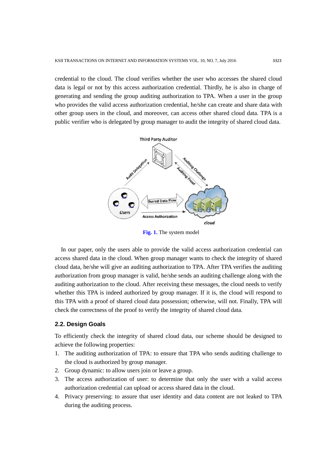credential to the cloud. The cloud verifies whether the user who accesses the shared cloud data is legal or not by this access authorization credential. Thirdly, he is also in charge of generating and sending the group auditing authorization to TPA. When a user in the group who provides the valid access authorization credential, he/she can create and share data with other group users in the cloud, and moreover, can access other shared cloud data. TPA is a public verifier who is delegated by group manager to audit the integrity of shared cloud data.



**Fig. 1.** The system model

In our paper, only the users able to provide the valid access authorization credential can access shared data in the cloud. When group manager wants to check the integrity of shared cloud data, he/she will give an auditing authorization to TPA. After TPA verifies the auditing authorization from group manager is valid, he/she sends an auditing challenge along with the auditing authorization to the cloud. After receiving these messages, the cloud needs to verify whether this TPA is indeed authorized by group manager. If it is, the cloud will respond to this TPA with a proof of shared cloud data possession; otherwise, will not. Finally, TPA will check the correctness of the proof to verify the integrity of shared cloud data.

## **2.2. Design Goals**

To efficiently check the integrity of shared cloud data, our scheme should be designed to achieve the following properties:

- 1. The auditing authorization of TPA: to ensure that TPA who sends auditing challenge to the cloud is authorized by group manager.
- 2. Group dynamic: to allow users join or leave a group.
- 3. The access authorization of user: to determine that only the user with a valid access authorization credential can upload or access shared data in the cloud.
- 4. Privacy preserving: to assure that user identity and data content are not leaked to TPA during the auditing process.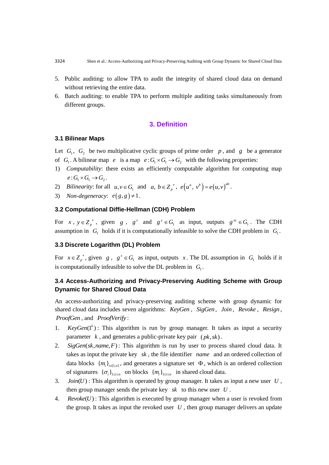- 5. Public auditing: to allow TPA to audit the integrity of shared cloud data on demand without retrieving the entire data.
- 6. Batch auditing: to enable TPA to perform multiple auditing tasks simultaneously from different groups.

# **3. Definition**

## **3.1 Bilinear Maps**

Let  $G_1$ ,  $G_2$  be two multiplicative cyclic groups of prime order p, and g be a generator of  $G_1$ . A bilinear map  $e$  is a map  $e: G_1 \times G_1 \to G_2$  with the following properties:

- 1) *Computability*: there exists an efficiently computable algorithm for computing map  $e: G_1 \times G_1 \rightarrow G_2$ .
- 2) *Bilinearity:* for all  $u, v \in G_1$  and  $a, b \in Z_p^*$ ,  $e(u^a, v^b) = e(u, v)^{ab}$ .
- 3) *Non-degeneracy*:  $e(g, g) \neq 1$ .

## **3.2 Computational Diffie-Hellman (CDH) Problem**

For  $x, y \in Z_p^*$ , given  $g, g^x$  and  $g^y \in G_1$  as input, outputs  $g^{xy} \in G_1$ . The CDH assumption in  $G_1$  holds if it is computationally infeasible to solve the CDH problem in  $G_1$ .

## **3.3 Discrete Logarithm (DL) Problem**

For  $x \in Z_p^*$ , given  $g$ ,  $g^x \in G_1$  as input, outputs x. The DL assumption in  $G_1$  holds if it is computationally infeasible to solve the DL problem in  $G_1$ .

# **3.4 Access-Authorizing and Privacy-Preserving Auditing Scheme with Group Dynamic for Shared Cloud Data**

An access-authorizing and privacy-preserving auditing scheme with group dynamic for shared cloud data includes seven algorithms: *KeyGen* , *SigGen* , *Join* , *Revoke* , *Resign* , *ProofGen* , and *ProofVerify* :

- 1.  $KeyGen(1^k)$ : This algorithm is run by group manager. It takes as input a security parameter  $k$ , and generates a public-private key pair  $(pk, sk)$ .
- 2.  $SigGen(sk, name, F)$ : This algorithm is run by user to process shared cloud data. It takes as input the private key *sk* , the file identifier *name* and an ordered collection of data blocks  $\{m_i\}_{i \in [1,n]}$ , and generates a signature set  $\Phi$ , which is an ordered collection of signatures  $\{\sigma_i\}_{1 \le i \le n}$  on blocks  $\{m_i\}_{1 \le i \le n}$  in shared cloud data.
- 3.  $Join(U)$ : This algorithm is operated by group manager. It takes as input a new user  $U$ , then group manager sends the private key *sk* to this new user *U* .
- 4. Revoke $(U)$ : This algorithm is executed by group manager when a user is revoked from the group. It takes as input the revoked user  $U$ , then group manager delivers an update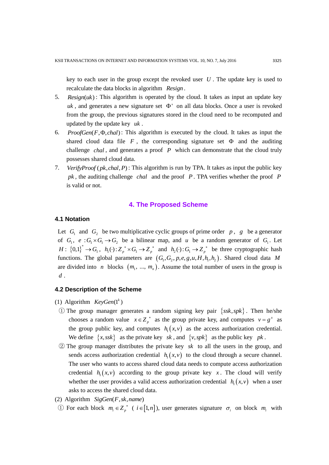key to each user in the group except the revoked user *U* . The update key is used to recalculate the data blocks in algorithm *Resign* .

- 5.  $Resign(uk)$ : This algorithm is operated by the cloud. It takes as input an update key  $uk$ , and generates a new signature set  $\Phi'$  on all data blocks. Once a user is revoked from the group, the previous signatures stored in the cloud need to be recomputed and updated by the update key *uk* .
- 6.  $ProofGen(F, \Phi, chal)$ : This algorithm is executed by the cloud. It takes as input the shared cloud data file  $F$ , the corresponding signature set  $\Phi$  and the auditing challenge *chal*, and generates a proof P which can demonstrate that the cloud truly possesses shared cloud data.
- 7. *Verify Proof (pk, chal, P)*: This algorithm is run by TPA. It takes as input the public key *pk* , the auditing challenge *chal* and the proof *P* . TPA verifies whether the proof *P* is valid or not.

#### **4. The Proposed Scheme**

#### **4.1 Notation**

Let  $G_1$  and  $G_2$  be two multiplicative cyclic groups of prime order p, g be a generator of  $G_1$ ,  $e: G_1 \times G_1 \rightarrow G_2$  be a bilinear map, and u be a random generator of  $G_1$ . Let  $H: \{0,1\}^* \to G_1$ ,  $h_1(\cdot): Z_p^* \times G_1 \to Z_p^*$  and  $h_2(\cdot): G_1 \to Z_p^*$  be three cryptographic hash functions. The global parameters are  $(G_1, G_2, p, e, g, u, H, h_1, h_2)$ . Shared cloud data *M* are divided into *n* blocks  $(m_1, ..., m_n)$ . Assume the total number of users in the group is *d* .

#### **4.2 Description of the Scheme**

- (1) Algorithm  $KeyGen(1^k)$
- 1) The group manager generates a random signing key pair  $\{ssk, spk\}$ . Then he/she chooses a random value  $x \in Z_p^*$  as the group private key, and computes  $v = g^x$  as the group public key, and computes  $h_1(x, v)$  as the access authorization credential. We define  $\{x, ssk\}$  as the private key sk, and  $\{v, spk\}$  as the public key pk.
- ② The group manager distributes the private key *sk* to all the users in the group, and sends access authorization credential  $h_1(x, v)$  to the cloud through a secure channel. The user who wants to access shared cloud data needs to compute access authorization credential  $h_1(x, y)$  according to the group private key x. The cloud will verify whether the user provides a valid access authorization credential  $h_1(x, v)$  when a user asks to access the shared cloud data.
- (2) Algorithm SigGen(F, sk, name)
- ① For each block  $m_i \in Z_p^*$  (  $i \in [1, n]$ ), user generates signature  $\sigma_i$  on block  $m_i$  with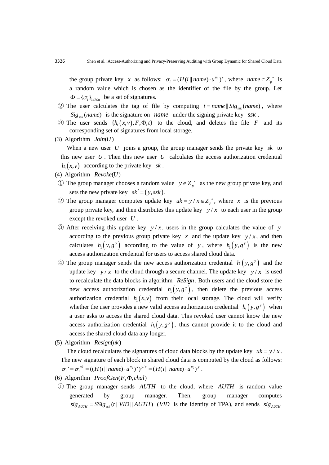the group private key x as follows:  $\sigma_i = (H(i || name) \cdot u^{m_i})^x$ , where  $name \in Z_p^*$  is a random value which is chosen as the identifier of the file by the group. Let  $\Phi = {\{\sigma_i\}}_{1 \le i \le n}$  be a set of signatures.

- 2) The user calculates the tag of file by computing  $t = name \, \| \, Sig_{ssk}(name)$ , where  $Sig_{ssk}(name)$  is the signature on *name* under the signing private key  $ssk$ .
- 3) The user sends  $\{h_1(x, v), F, \Phi, t\}$  to the cloud, and deletes the file F and its corresponding set of signatures from local storage.
- $(3)$  Algorithm  $Join(U)$

When a new user  $U$  joins a group, the group manager sends the private key  $sk$  to this new user  $U$ . Then this new user  $U$  calculates the access authorization credential  $h_1(x, v)$  according to the private key sk.

- (4) Algorithm Revoke(U)
- ① The group manager chooses a random value  $y \in Z_p^*$  as the new group private key, and sets the new private key  $sk' = (y, ssk)$ .
- 2) The group manager computes update key  $uk = y / x \in Z_p^*$ , where x is the previous group private key, and then distributes this update key  $y/x$  to each user in the group except the revoked user *U* .
- $\circled{3}$  After receiving this update key  $y/x$ , users in the group calculates the value of y according to the previous group private key  $x$  and the update key  $y/x$ , and then calculates  $h_1(y, g^y)$  according to the value of y, where  $h_1(y, g^y)$  is the new access authorization credential for users to access shared cloud data.
- 4) The group manager sends the new access authorization credential  $h_1(y, g^y)$  and the update key  $y/x$  to the cloud through a secure channel. The update key  $y/x$  is used to recalculate the data blocks in algorithm *ReSign* . Both users and the cloud store the new access authorization credential  $h_1(y, g^y)$ , then delete the previous access authorization credential  $h_1(x, v)$  from their local storage. The cloud will verify whether the user provides a new valid access authorization credential  $h_1(y, g^y)$  when a user asks to access the shared cloud data. This revoked user cannot know the new access authorization credential  $h_1(y, g^y)$ , thus cannot provide it to the cloud and access the shared cloud data any longer.
- (5) Algorithm Resign(uk)

The cloud recalculates the signatures of cloud data blocks by the update key  $uk = y / x$ . The new signature of each block in shared cloud data is computed by the cloud as follows: / The new signature of each block in shared cloud data is con<br> $\sigma_i' = \sigma_i^{uk} = ((H(i \parallel name) \cdot u^{m_i})^x)^{y/x} = (H(i \parallel name) \cdot u^{m_i})^y$ .

- (6) Algorithm  $ProofGen(F, \Phi, chal)$
- ① The group manager sends *AUTH* to the cloud, where *AUTH* is random value generated by group manager. Then, group manager computes  $sig_{AUTH} = SSig_{ssk} (t || VID || AUTH)$  (*VID* is the identity of TPA), and sends  $sig_{AUTH}$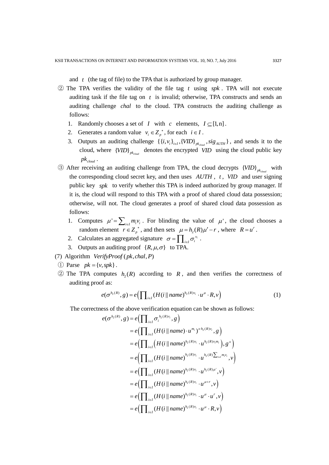and  $t$  (the tag of file) to the TPA that is authorized by group manager.

- $(2)$  The TPA verifies the validity of the file tag t using spk. TPA will not execute auditing task if the file tag on  $t$  is invalid; otherwise, TPA constructs and sends an auditing challenge *chal* to the cloud. TPA constructs the auditing challenge as follows:
	- 1. Randomly chooses a set of *I* with *c* elements,  $I \subseteq [1, n]$ .
	- 2. Generates a random value  $v_i \in Z_p^*$ , for each  $i \in I$ .
	- 3. Outputs an auditing challenge  $\{\{i, v_i\}_{i \in I}, \{VID\}_{pk_{cloud}}$ ,  $sig_{AUTH} \}$ , and sends it to the cloud, where  ${VID}_{pk_{cloud}}$  denotes the encrypted *VID* using the cloud public key  $pk_{cloud}$ .
- **(3)** After receiving an auditing challenge from TPA, the cloud decrypts  ${VID}_{p_{k_{cloud}}}$  with the corresponding cloud secret key, and then uses  $AUTH$ ,  $t$ ,  $VID$  and user signing public key *spk* to verify whether this TPA is indeed authorized by group manager. If it is, the cloud will respond to this TPA with a proof of shared cloud data possession; otherwise, will not. The cloud generates a proof of shared cloud data possession as follows:
	- 1. Computes  $\mu' = \sum_{i \in I} m_i v_i$ . For blinding the value of  $\mu'$ , the cloud chooses a random element  $r \in Z_p^*$ , and then sets  $\mu = h_2(R)\mu' - r$ , where  $R = u^r$ .
	- 2. Calculates an aggregated signature  $\sigma = \prod_{i \in I} \sigma_i^{v_i}$ .
	- 3. Outputs an auditing proof  $\{R, \mu, \sigma\}$  to TPA.
- (7) Algorithm Verify Proof (pk, chal, P)
- $\textcircled{1}$  Parse  $pk = \{v, spk\}.$
- $\textcircled{2}$  The TPA computes  $h_2(R)$  according to R, and then verifies the correctness of auditing proof as:

auditing proof as:

\n
$$
e(\sigma^{h_2(R)}, g) = e\left(\prod_{i \in I} (H(i \parallel name)^{h_2(R)v_i} \cdot u^\mu \cdot R, v\right)
$$
\n(1)

The correctness of the above verification equation can be shown as follows:  
\n
$$
e(\sigma^{h_2(R)}, g) = e\left(\prod_{i \in I} \sigma_i^{h_2(R)v_i}, g\right)
$$
\n
$$
= e\left(\prod_{i \in I} (H(i \parallel name) \cdot u^{m_i})^{x \cdot h_2(R)v_i}, g\right)
$$
\n
$$
= e\left(\prod_{i \in I} (H(i \parallel name)^{h_2(R)v_i} \cdot u^{h_2(R)v_i m_i}), g^x\right)
$$
\n
$$
= e\left(\prod_{i \in I} (H(i \parallel name)^{h_2(R)v_i} \cdot u^{h_2(R)\sum_{i \in I} m_i v_i}, v\right)
$$
\n
$$
= e\left(\prod_{i \in I} (H(i \parallel name)^{h_2(R)v_i} \cdot u^{h_2(R)u'}, v\right)
$$
\n
$$
= e\left(\prod_{i \in I} (H(i \parallel name)^{h_2(R)v_i} \cdot u^{\mu+r}, v\right)
$$
\n
$$
= e\left(\prod_{i \in I} (H(i \parallel name)^{h_2(R)v_i} \cdot u^{\mu} \cdot u^r, v\right)
$$
\n
$$
= e\left(\prod_{i \in I} (H(i \parallel name)^{h_2(R)v_i} \cdot u^{\mu} \cdot R, v\right)
$$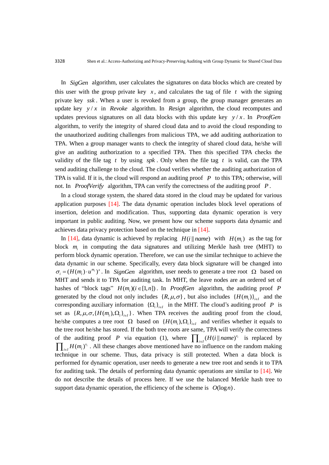In SigGen algorithm, user calculates the signatures on data blocks which are created by this user with the group private key  $x$ , and calculates the tag of file  $t$  with the signing private key *ssk* . When a user is revoked from a group, the group manager generates an update key  $y/x$  in *Revoke* algorithm. In *Resign* algorithm, the cloud recomputes and updates previous signatures on all data blocks with this update key  $y/x$ . In *ProofGen* algorithm, to verify the integrity of shared cloud data and to avoid the cloud responding to the unauthorized auditing challenges from malicious TPA, we add auditing authorization to TPA. When a group manager wants to check the integrity of shared cloud data, he/she will give an auditing authorization to a specified TPA. Then this specified TPA checks the validity of the file tag  $t$  by using  $spk$ . Only when the file tag  $t$  is valid, can the TPA send auditing challenge to the cloud. The cloud verifies whether the auditing authorization of TPA is valid. If it is, the cloud will respond an auditing proof  $P$  to this TPA; otherwise, will not. In *ProofVerify* algorithm, TPA can verify the correctness of the auditing proof *P* .

In a cloud storage system, the shared data stored in the cloud may be updated for various application purposes [14]. The data dynamic operation includes block level operations of insertion, deletion and modification. Thus, supporting data dynamic operation is very important in public auditing. Now, we present how our scheme supports data dynamic and achieves data privacy protection based on the technique in [14].

In [14], data dynamic is achieved by replacing  $H(i || name)$  with  $H(m_i)$  as the tag for block  $m_i$  in computing the data signatures and utilizing Merkle hash tree (MHT) to perform block dynamic operation. Therefore, we can use the similar technique to achieve the data dynamic in our scheme. Specifically, every data block signature will be changed into  $\sigma_i = (H(m_i) \cdot u^{m_i})^x$ . In *SignGen* algorithm, user needs to generate a tree root  $\Omega$  based on MHT and sends it to TPA for auditing task. In MHT, the leave nodes are an ordered set of hashes of "block tags"  $H(m_i)$  ( $i \in [1, n]$ ). In *ProofGen* algorithm, the auditing proof *P* generated by the cloud not only includes  $\{R, \mu, \sigma\}$ , but also includes  $\{H(m_i)\}_{i \in I}$  and the corresponding auxiliary information  $\{\Omega_i\}_{i \in I}$  in the MHT. The cloud's auditing proof P is set as  $\{R, \mu, \sigma, \{H(m_i), \Omega_i\}_{i \in I}\}\$ . When TPA receives the auditing proof from the cloud, he/she computes a tree root  $\Omega$  based on  $\{H(m_i), \Omega_i\}_{i \in I}$  and verifies whether it equals to the tree root he/she has stored. If the both tree roots are same, TPA will verify the correctness of the auditing proof P via equation (1), where  $\prod_{i \in I} (H(i \parallel name)^{v_i})$  $\prod_{i \in I} (H(i \parallel name)^{v_i}$  is replaced by  $\prod_{i\in I} H(m_i)^{v_i}$ . All these changes above mentioned have no influence on the random making technique in our scheme. Thus, data privacy is still protected. When a data block is performed for dynamic operation, user needs to generate a new tree root and sends it to TPA for auditing task. The details of performing data dynamic operations are similar to [14]. We do not describe the details of process here. If we use the balanced Merkle hash tree to support data dynamic operation, the efficiency of the scheme is  $O(\log n)$ .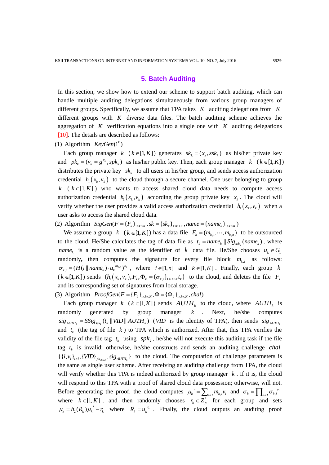## **5. Batch Auditing**

In this section, we show how to extend our scheme to support batch auditing, which can handle multiple auditing delegations simultaneously from various group managers of different groups. Specifically, we assume that TPA takes *K* auditing delegations from *K* different groups with  $K$  diverse data files. The batch auditing scheme achieves the aggregation of  $K$  verification equations into a single one with  $K$  auditing delegations [10]. The details are described as follows:

(1) Algorithm  $KeyGen(1^k)$ 

Each group manager  $k$  ( $k \in [1, K]$ ) generates  $sk_k = (x_k, ssk_k)$  as his/her private key and  $pk_k = (v_k = g^{x_k}, spk_k)$  as his/her public key. Then, each group manager  $k \ (k \in [1, K])$ distributes the private key  $sk_k$  to all users in his/her group, and sends access authorization credential  $h_1(x_k, v_k)$  to the cloud through a secure channel. One user belonging to group  $k \in \{1, K\}$ ) who wants to access shared cloud data needs to compute access authorization credential  $h_1(x_k, v_k)$  according the group private key  $x_k$ . The cloud will verify whether the user provides a valid access authorization credential  $h_1(x_k, v_k)$  when a user asks to access the shared cloud data. user asks to access the shared cloud data.<br>
(2) Algorithm  $SigGen(F = \{F_k\}_{1 \le k \le K}, sk = \{sk_k\}_{1 \le k \le K}, name = \{name_k\}_{1 \le k \le K})$ 

We assume a group  $k \ (k \in [1, K])$  has a data file  $F_k = (m_{k,1}, \dots, m_{k,n})$  to be outsourced to the cloud. He/She calculates the tag of data file as  $t_k = name_k \mid \left| Sig_{ssk_k}(name_k), \text{ where } \right|$ *name*<sub>k</sub> is a random value as the identifier of k data file. He/She chooses  $u_k \in G_1$ randomly, then computes the signature for every file block  $m_{k,i}$  as follows:  $\sigma_{k,i} = (H(i \parallel name_k) \cdot u_k^{m_{k,i}})^{x_k}$ , where  $i \in [1,n]$  and  $k \in [1,K]$ . Finally, each group k  $\mathcal{O}_{k,i} = (H(t)) \text{ and } \mathcal{O}_{k,i} = (H(t)) \text{ and } \mathcal{O}_{k,i} = (H(t)) \text{ and } \mathcal{O}_{k,i} = (H(t)) \text{ and } \mathcal{O}_{k,i} = (H(t)) \text{ and } \mathcal{O}_{k,i} = (H(t)) \text{ and } \mathcal{O}_{k,i} = (H(t)) \text{ and } \mathcal{O}_{k,i} = (H(t)) \text{ and } \mathcal{O}_{k,i} = (H(t)) \text{ and } \mathcal{O}_{k,i} = (H(t)) \text{ and } \mathcal{O}_{k,i} = (H(t)) \text{ and } \mathcal{O}_{k,i} = ($ and its corresponding set of signatures from local storage.<br>3) Algorithm  $ProofGen(F = {F_k}_{1 \le k \le K}, \Phi = {\Phi_k}_{1 \le k \le K}, chal)$ 

(3) Algorithm  $ProofGen(F = \{F_k\}_{1 \leq k \leq K}, \Phi = \{\Phi_k\}_{1 \leq k \leq K}, chal)$ 

Each group manager  $k$  ( $k \in [1, K]$ ) sends  $AUTH_k$  to the cloud, where  $AUTH_k$  is randomly generated by group manager *k* Next, he/she computes  $sig_{AUTH_k} = SSig_{ssk_k}(t_k || VID || AUTH_k)$  (*VID* is the identity of TPA), then sends  $sig_{AUTH_k}$  is the identity of TPA), then sends  $sig_{AUTH_k}$ and  $t_k$  (the tag of file  $k$ ) to TPA which is authorized. After that, this TPA verifies the validity of the file tag  $t_k$  using  $spk_k$ , he/she will not execute this auditing task if the file tag  $t_k$  is invalid; otherwise, he/she constructs and sends an auditing challenge tag  $t_k$  is invalid; otherwise, he/she constructs and sends an auditing challenge *chal*  $\{\{i, v_i\}_{i \in I}, \{VID\}_{pk_{cloud}}$ ,  $sig_{AUTH_k}\}\$  to the cloud. The computation of challenge parameters is the same as single user scheme. After receiving an auditing challenge from TPA, the cloud will verify whether this TPA is indeed authorized by group manager  $k$ . If it is, the cloud will respond to this TPA with a proof of shared cloud data possession; otherwise, will not. Before generating the proof, the cloud computes  $\mu_k = \sum_{i \in I} m_{k,i} v_i$  and  $\sigma_k = \prod_{i \in I} \sigma_{k,i} v_i$ where  $k \in [1, K]$ , and then randomly chooses  $r_k \in Z_p^*$  for each group and sets  $\mu_k = h_2(R_k) \mu_k' - r_k$  where  $R_k = u_k^{r_k}$ . Finally, the cloud outputs an auditing proof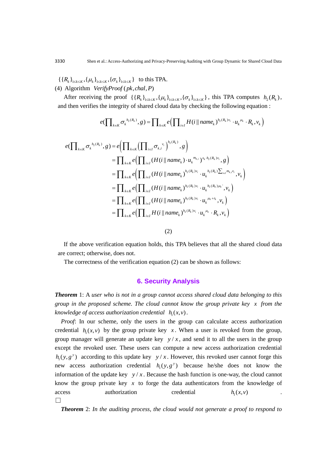$\{\{R_k\}_{1\leq k\leq K}, {\{\mu_k\}}_{1\leq k\leq K}, {\{\sigma_k\}}_{1\leq k\leq K}}\}$  to this TPA.

(4) Algorithm  $VerifyProof(pk, chal, P)$ 

After receiving the proof  $\{\{R_k\}_{1\leq k\leq K}, \{\mu_k\}_{1\leq k\leq K}, {\{\sigma_k\}}_{1\leq k\leq K}\}$ , this TPA computes  $h_2(R_k)$ , After receiving the proof  $\{\{R_k\}_{1\leq k\leq K}, \{\mu_k\}_{1\leq k\leq K}, \{\sigma_k\}_{1\leq k\leq K}\}$ , this TPA computes  $h_2$  (and then verifies the integrity of shared cloud data by checking the following equation :  $e(\prod_{k\in K} \sigma_k^{h_2(R_k)}, g) = \prod_{$ 

$$
e(\prod\nolimits_{k\in K}\sigma_k^{\ h_2(R_k)}, g) = \prod\nolimits_{k\in K}e(\prod\nolimits_{i\in I}H(i\,||\,name\ p_2)^{h_2(R_k)v_i}\cdot u_k^{\mu_k}\cdot R_k,v_k)
$$

$$
e(\prod_{k\in K}\sigma_{k}^{h_{2}(R_{k})},g) = \prod_{k\in K}e(\prod_{i\in I}H(i\mid name_{k})^{h_{2}(R_{k})v_{i}}\cdot u_{k}^{\mu_{k}}\cdot
$$
  
\n
$$
e(\prod_{k\in K}\sigma_{k}^{h_{2}(R_{k})},g) = e(\prod_{k\in K}(\prod_{i\in I}\sigma_{k,i}^{v_{i}})^{h_{2}(R_{k})},g)
$$
  
\n
$$
= \prod_{k\in K}e(\prod_{i\in I}(H(i\mid name_{k})\cdot u_{k}^{m_{k}})^{x_{k}\cdot h_{2}(R_{k})v_{i}},g)
$$
  
\n
$$
= \prod_{k\in K}e(\prod_{i\in I}(H(i\mid name_{k})^{h_{2}(R_{k})v_{i}}\cdot u_{k}^{h_{2}(R_{k})\sum_{i\in I}m_{k,i}v_{i}},v_{k})
$$
  
\n
$$
= \prod_{k\in K}e(\prod_{i\in I}(H(i\mid name_{k})^{h_{2}(R_{k})v_{i}}\cdot u_{k}^{h_{2}(R_{k})\mu_{k}},v_{k})
$$
  
\n
$$
= \prod_{k\in K}e(\prod_{i\in I}(H(i\mid name_{k})^{h_{2}(R_{k})v_{i}}\cdot u_{k}^{\mu_{k}+r_{k}},v_{k})
$$
  
\n
$$
= \prod_{k\in K}e(\prod_{i\in I}H(i\mid name_{k})^{h_{2}(R_{k})v_{i}}\cdot u_{k}^{\mu_{k}}\cdot R_{k},v_{k})
$$

(2)

If the above verification equation holds, this TPA believes that all the shared cloud data are correct; otherwise, does not.

The correctness of the verification equation (2) can be shown as follows:

# **6. Security Analysis**

*Theorem* 1: A *user who is not in a group cannot access shared cloud data belonging to this group in the proposed scheme. The cloud cannot know the group private key x from the*  $k$ *nowledge of access authorization credential*  $h_1(x, v)$ .

*Proof*: In our scheme, only the users in the group can calculate access authorization credential  $h_1(x, v)$  by the group private key x. When a user is revoked from the group, group manager will generate an update key  $y/x$ , and send it to all the users in the group except the revoked user. These users can compute a new access authorization credential  $h_1(y, g^y)$  according to this update key  $y/x$ . However, this revoked user cannot forge this new access authorization credential  $h_1(y, g^y)$  because he/she does not know the information of the update key  $y/x$ . Because the hash function is one-way, the cloud cannot know the group private key  $x$  to forge the data authenticators from the knowledge of access authorization credential  $h_1(x,v)$  . □

*Theorem* 2: *In the auditing process, the cloud would not generate a proof to respond to*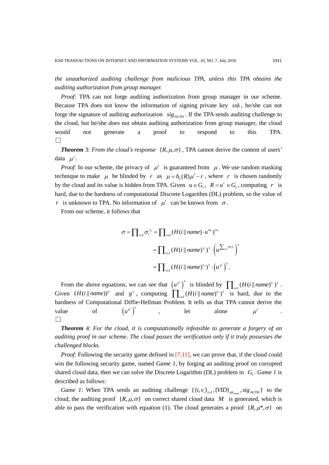*the unauthorized auditing challenge from malicious TPA, unless this TPA obtains the auditing authorization from group manager.*

*Proof*: TPA can not forge auditing authorization from group manager in our scheme. Because TPA does not know the information of signing private key *ssk* , he/she can not forge the signature of auditing authorization  $sig_{AUTH}$ . If the TPA sends auditing challenge to the cloud, but he/she does not obtain auditing authorization from group manager, the cloud would not generate a proof to respond to this TPA. □

**Theorem** 3: *From the cloud's response*  $\{R, \mu, \sigma\}$ , TPA cannot derive the content of users' data  $\mu'$ .

*Proof*: In our scheme, the privacy of  $\mu'$  is guaranteed from  $\mu$ . We use random masking technique to make  $\mu$  be blinded by r as  $\mu = h_2(R)\mu' - r$ , where r is chosen randomly by the cloud and its value is hidden from TPA. Given  $u \in G_1$ ,  $R = u^r \in G_1$ , computing r is hard, due to the hardness of computational Discrete Logarithm (DL) problem, so the value of *r* is unknown to TPA. No information of  $\mu'$  can be known from  $\sigma$ .

From our scheme, it follows that

$$
\sigma = \prod_{i \in I} \sigma_i^{v_i} = \prod_{i \in I} (H(i \mid name) \cdot u^{m_i})^{x v_i}
$$
  
= 
$$
\prod_{i \in I} (H(i \mid name)^{v_i})^x \cdot \left(u^{\sum_{i \in I} m_i v_i}\right)^x
$$
  
= 
$$
\prod_{i \in I} (H(i \mid name)^{v_i})^x \cdot \left(u^{u'}\right)^x.
$$

From the above equations, we can see that  $(u^{\mu'})^x$  is blinded by  $\prod_{i \in I} (H(i \parallel name)^{v_i})^x$ . Given  $(H(i \| name))^{\nu_i}$  and  $g^x$ , computing  $\prod_{i \in I} (H(i \| name)^{\nu_i})^x$  is hard, due to the hardness of Computational Diffie-Hellman Problem. It tells us that TPA cannot derive the value of  $(u^{\mu'})^x$ let alone  $\mu'$ □

*Theorem* 4: *For the cloud, it is computationally infeasible to generate a forgery of an auditing proof in our scheme. The cloud passes the verification only if it truly possesses the challenged blocks.*

*Proof*: Following the security game defined in [7,11], we can prove that, if the cloud could win the following security game, named *Game 1*, by forging an auditing proof on corrupted shared cloud data, then we can solve the Discrete Logarithm (DL) problem in  $G_1$ . *Game 1* is described as follows:

*Game 1*: When TPA sends an auditing challenge  $\{\{i, v_i\}_{i \in I}, \{VID\}_{pk_{cloud}}$ ,  $sig_{AUTH}\}\$  to the cloud, the auditing proof  $\{R, \mu, \sigma\}$  on correct shared cloud data M is generated, which is able to pass the verification with equation (1). The cloud generates a proof  $\{R, \mu^*, \sigma\}$  on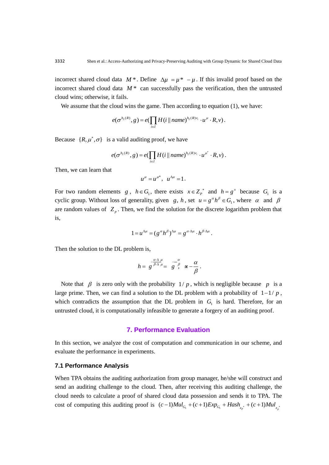incorrect shared cloud data  $M^*$ . Define  $\Delta \mu = \mu^* - \mu$ . If this invalid proof based on the incorrect shared cloud data  $M^*$  can successfully pass the verification, then the untrusted cloud wins; otherwise, it fails.

We assume that the cloud wins the game. Then according to equation (1), we have:

$$
e(\sigma^{h_2(R)}, g) = e\left(\prod_{i \in I} H(i \parallel name)^{h_2(R)v_i} \cdot u^{\mu} \cdot R, v\right).
$$

Because  $\{R, \mu^*, \sigma\}$  is a valid auditing proof, we have

$$
e(\sigma^{h_2(R)}, g) = e(\prod_{i \in I} H(i \, \|\, name)^{h_2(R)v_i} \cdot u^{\mu^*} \cdot R, v).
$$

Then, we can learn that

$$
u^{\mu} = u^{\mu^*}, \ \ u^{\Delta \mu} = 1.
$$

For two random elements  $g$ ,  $h \in G_1$ , there exists  $x \in Z_p^*$  and  $h = g^x$  because  $G_1$  is a cyclic group. Without loss of generality, given  $g, h$ , set  $u = g^{\alpha} h^{\beta} \in G_1$ , where  $\alpha$  and  $\beta$ are random values of  $Z_p$ . Then, we find the solution for the discrete logarithm problem that is,

$$
1 = u^{\Delta \mu} = (g^{\alpha} h^{\beta})^{\Delta \mu} = g^{\alpha \cdot \Delta \mu} \cdot h^{\beta \cdot \Delta \mu}.
$$

Then the solution to the DL problem is,

$$
h = g^{\frac{\alpha \cdot \Delta \mu}{\beta \cdot \Delta \mu}} = g^{\frac{\alpha}{\beta}} \pi - \frac{\alpha}{\beta}.
$$

Note that  $\beta$  is zero only with the probability  $1/p$ , which is negligible because p is a large prime. Then, we can find a solution to the DL problem with a probability of  $1-1/p$ , which contradicts the assumption that the DL problem in  $G<sub>1</sub>$  is hard. Therefore, for an untrusted cloud, it is computationally infeasible to generate a forgery of an auditing proof.

# **7. Performance Evaluation**

In this section, we analyze the cost of computation and communication in our scheme, and evaluate the performance in experiments.

## **7.1 Performance Analysis**

When TPA obtains the auditing authorization from group manager, he/she will construct and send an auditing challenge to the cloud. Then, after receiving this auditing challenge, the cloud needs to calculate a proof of shared cloud data possession and sends it to TPA. The cloud needs to calculate a proof of shared cloud data possession and sends it to TPA. The cost of computing this auditing proof is  $(c-1)Mul_{G_1} + (c+1) Exp_{G_1} + Hash_{Z_{P}} + (c+1)Mul_{Z_{P}}$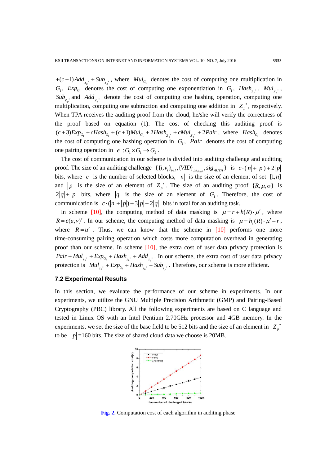$+(c-1)Add_{z_p^*} + Sub_{z_p^*}$ , where  $Mul_{G_1}$  denotes the cost of computing one multiplication in  $G_1$ ,  $Exp_{G_1}$  denotes the cost of computing one exponentiation in  $G_1$ ,  $Hash_{Z_{p^*}}$ ,  $Mul_{Z_{p^*}}$  $Sub_{Z^*_{p}}$  and  $Add_{Z^*_{p}}$  denote the cost of computing one hashing operation, computing one multiplication, computing one subtraction and computing one addition in  $Z_p^*$ , respectively. When TPA receives the auditing proof from the cloud, he/she will verify the correctness of the proof based on equation (1). The cost of checking this auditing proof is When TPA receives the auditing proof from the cloud, he/she will verify the correctness of<br>the proof based on equation (1). The cost of checking this auditing proof is<br> $(c+3)Exp_{G_1} + cHash_{G_1} + (c+1)Mul_{G_1} + 2Hash_{Z_p} + cMul_{Z_p} + 2Pair$ , the cost of computing one hashing operation in  $G_1$ , *Pair* denotes the cost of computing one pairing operation in  $e : G_1 \times G_1 \to G_2$ .

The cost of communication in our scheme is divided into auditing challenge and auditing proof. The size of an auditing challenge  $\{\{i, v_i\}_{i \in I}, \{\text{VID}\}_{\text{pk}_{cloud}}, \text{sig}_{\text{AUTH}}\}$  is  $c \cdot (|n| + |p|) + 2|p$ bits, where c is the number of selected blocks, |n| is the size of an element of set  $[1,n]$ and |p| is the size of an element of  $Z_p^*$ . The size of an auditing proof  $\{R, \mu, \sigma\}$  is  $2|q|+|p|$  bits, where |q| is the size of an element of  $G_1$ . Therefore, the cost of communication is  $c \cdot (|n| + |p|) + 3|p| + 2|q|$  bits in total for an auditing task.

In scheme [10], the computing method of data masking is  $\mu = r + h(R) \cdot \mu'$ , where  $R = e(u, v)^r$ . In our scheme, the computing method of data masking is  $\mu = h_2(R) \cdot \mu' - r$ , where  $R = u^r$ . Thus, we can know that the scheme in [10] performs one more time-consuming pairing operation which costs more computation overhead in generating proof than our scheme. In scheme [10], the extra cost of user data privacy protection is proof than our scheme. In scheme [10], the extra cost of user data privacy protection is  $Pair + Mul_{z_p^*} + Exp_{G_1} + Hash_{z_p^*} + Add_{z_p^*}$ . In our scheme, the extra cost of user data privacy protection is  $Mul_{z_p^*} + Exp_{G_1} + Hash_{z_p^*} + Sub_{z_p^*}$ . Therefore, our scheme is more efficient.

#### **7.2 Experimental Results**

In this section, we evaluate the performance of our scheme in experiments. In our experiments, we utilize the GNU Multiple Precision Arithmetic (GMP) and Pairing-Based Cryptography (PBC) library. All the following experiments are based on C language and tested in Linux OS with an Intel Pentium 2.70GHz processor and 4GB memory. In the experiments, we set the size of the base field to be 512 bits and the size of an element in  $Z_p^*$ to be  $|p|$ =160 bits. The size of shared cloud data we choose is 20MB.



**Fig. 2.** Computation cost of each algorithm in auditing phase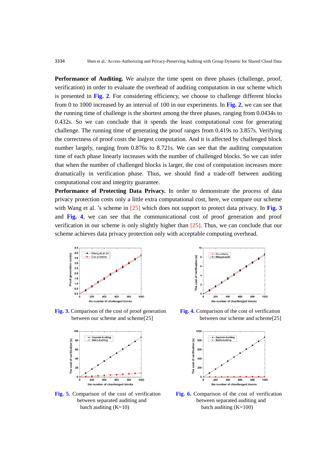**Performance of Auditing.** We analyze the time spent on three phases (challenge, proof, verification) in order to evaluate the overhead of auditing computation in our scheme which is presented in **Fig. 2**. For considering efficiency, we choose to challenge different blocks from 0 to 1000 increased by an interval of 100 in our experiments. In **Fig. 2**, we can see that the running time of challenge is the shortest among the three phases, ranging from 0.0434s to 0.432s. So we can conclude that it spends the least computational cost for generating challenge. The running time of generating the proof ranges from 0.419s to 3.857s. Verifying the correctness of proof costs the largest computation. And it is affected by challenged block number largely, ranging from 0.876s to 8.721s. We can see that the auditing computation time of each phase linearly increases with the number of challenged blocks. So we can infer that when the number of challenged blocks is larger, the cost of computation increases more dramatically in verification phase. Thus, we should find a trade-off between auditing computational cost and integrity guarantee.

**Performance of Protecting Data Privacy.** In order to demonstrate the process of data privacy protection costs only a little extra computational cost, here, we compare our scheme with Wang et al. 's scheme in [25] which does not support to protect data privacy. In **Fig. 3** and **Fig. 4**, we can see that the communicational cost of proof generation and proof verification in our scheme is only slightly higher than [25]. Thus, we can conclude that our scheme achieves data privacy protection only with acceptable computing overhead.



**Fig. 3.** Comparison of the cost of proof generation **Fig. 4.** Comparison of the cost of verification



batch auditing  $(K=10)$  batch auditing  $(K=100)$ 



between our scheme and scheme[25]between our scheme and scheme[25]



**Fig. 5.** Comparison of the cost of verification **Fig. 6.** Comparison of the cost of verification between separated auditing and between separated auditing and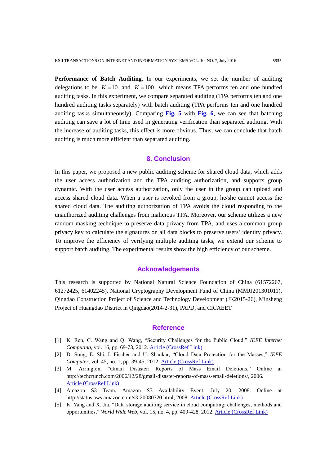**Performance of Batch Auditing.** In our experiments, we set the number of auditing delegations to be  $K = 10$  and  $K = 100$ , which means TPA performs ten and one hundred auditing tasks. In this experiment, we compare separated auditing (TPA performs ten and one hundred auditing tasks separately) with batch auditing (TPA performs ten and one hundred auditing tasks simultaneously). Comparing **Fig. 5** with **Fig. 6**, we can see that batching auditing can save a lot of time used in generating verification than separated auditing. With the increase of auditing tasks, this effect is more obvious. Thus, we can conclude that batch auditing is much more efficient than separated auditing.

## **8. Conclusion**

In this paper, we proposed a new public auditing scheme for shared cloud data, which adds the user access authorization and the TPA auditing authorization, and supports group dynamic. With the user access authorization, only the user in the group can upload and access shared cloud data. When a user is revoked from a group, he/she cannot access the shared cloud data. The auditing authorization of TPA avoids the cloud responding to the unauthorized auditing challenges from malicious TPA. Moreover, our scheme utilizes a new random masking technique to preserve data privacy from TPA, and uses a common group privacy key to calculate the signatures on all data blocks to preserve users' identity privacy. To improve the efficiency of verifying multiple auditing tasks, we extend our scheme to support batch auditing. The experimental results show the high efficiency of our scheme.

# **Acknowledgements**

This research is supported by National Natural Science Foundation of China (61572267, 61272425, 61402245), National Cryptography Development Fund of China (MMJJ201301011), Qingdao Construction Project of Science and Technology Development (JK2015-26), Minsheng Project of Huangdao District in Qingdao(2014-2-31), PAPD, and CICAEET.

#### **Reference**

- [1] K. Ren, C. Wang and Q. Wang, "Security Challenges for the Public Cloud," *IEEE Internet Computing*, vol. 16, pp. 69-73, 2012. [Article \(CrossRef Link\)](http://dx.doi.org/10.1109/MIC.2012.14)
- [2] D. Song, E. Shi, I. Fischer and U. Shankar, "Cloud Data Protection for the Masses," *IEEE Computer*, vol. 45, no. 1, pp. 39-45, 2012. [Article \(CrossRef Link\)](http://dx.doi.org/10.1109/MC.2012.1)
- [3] M. Arrington, "Gmail Disaster: Reports of Mass Email Deletions," Online at http://techcrunch.com/2006/12/28/gmail-disaster-reports-of-mass-email-deletions/, 2006. [Article \(CrossRef Link\)](http://techcrunch.com/2006/12/28/gmail-disaster-reports-of-mass-email-deletions/)
- [4] Amazon S3 Team. Amazon S3 Availability Event: July 20, 2008. Online at http://status.aws.amazon.com/s3-20080720.html, 2008. [Article \(CrossRef Link\)](http://status.aws.amazon.com/s3-20080720.html)
- [5] K. Yang and X. Jia, "Data storage auditing service in cloud computing: challenges, methods and opportunities," *World Wide Web*, vol. 15, no. 4, pp. 409-428, 2012. [Article \(CrossRef Link\)](http://dx.doi.org/10.1007/s11280-011-0138-0)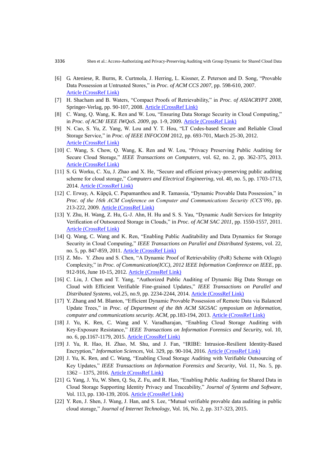- [6] G. Ateniese, R. Burns, R. Curtmola, J. Herring, L. Kissner, Z. Peterson and D. Song, "Provable Data Possession at Untrusted Stores," in *Proc. of ACM CCS 2007*, pp. 598-610, 2007. [Article \(CrossRef Link\)](http://dx.doi.org/10.1145/1315245.1315318)
- [7] H. Shacham and B. Waters, "Compact Proofs of Retrievability," in *Proc. of ASIACRYPT 2008*, Springer-Verlag, pp. 90-107, 2008. [Article \(CrossRef Link\)](http://dx.doi.org/10.1007/978-3-540-89255-7_7)
- [8] C. Wang, Q. Wang, K. Ren and W. Lou, "Ensuring Data Storage Security in Cloud Computing," in *Proc. of ACM/ IEEE IWQoS. 2009*, pp. 1-9, 2009. [Article \(CrossRef Link\)](http://dx.doi.org/10.1109/iwqos.2009.5201385)
- [9] N. Cao, S. Yu, Z. Yang, W. Lou and Y. T. Hou, "LT Codes-based Secure and Reliable Cloud Storage Service," in *Proc. of IEEE INFOCOM* 2012, pp. 693-701, March 25-30, 2012. [Article \(CrossRef Link\)](https://scholar.google.com.hk/scholar?q=LT+Codes-based+Secure+and+Reliable+Cloud+Storage+Service&hl=zh-CN&as_sdt=0&as_vis=1&oi=scholart&sa=X&ved=0ahUKEwjVnPD7v6bNAhVW9mMKHRdYDi0QgQMIGDAA)
- [10] C. Wang, S. Chow, Q. Wang, K. Ren and W. Lou, "Privacy Preserving Public Auditing for Secure Cloud Storage," *IEEE Transactions on Computers*, vol. 62, no. 2, pp. 362-375, 2013. [Article \(CrossRef Link\)](http://dx.doi.org/10.1109/TC.2011.245)
- [11] S. G. Worku, C. Xu, J. Zhao and X. He, "Secure and efficient privacy-preserving public auditing scheme for cloud storage," *Computers and Electrical Engineering*, vol. 40, no. 5, pp. 1703-1713, 2014. [Article \(CrossRef Link\)](http://dx.doi.org/10.1016/j.compeleceng.2013.10.004)
- [12] C. Erway, A. Küpçü, C. Papamanthou and R. Tamassia, "Dynamic Provable Data Possession," in *Proc. of the 16th ACM Conference on Computer and Communications Security (CCS'09)*, pp. 213-222, 2009. [Article \(CrossRef Link\)](http://dx.doi.org/10.1145/1653662.1653688)
- [13] Y. Zhu, H. Wang, Z. Hu, G.-J. Ahn, H. Hu and S. S. Yau, "Dynamic Audit Services for Integrity Verification of Outsourced Storage in Clouds," in *Proc. of ACM SAC 2011*, pp. 1550-1557, 2011. [Article \(CrossRef Link\)](http://dx.doi.org/10.1145/1982185.1982514)
- [14] Q. Wang, C. Wang and K. Ren, "Enabling Public Auditability and Data Dynamics for Storage Security in Cloud Computing," *IEEE Transactions on Parallel and Distributed Systems*, vol. 22, no. 5, pp. 847-859, 2011. [Article \(CrossRef Link\)](http://dx.doi.org/10.1109/TPDS.2010.183)
- [15] Z. Mo, Y. Zhou and S. Chen, "A Dynamic Proof of Retrievability (PoR) Scheme with O(logn) Complexity," in *Proc. of Communication(ICC), 2012 IEEE Information Conference on IEEE*, pp. 912-916, June 10-15, 2012. [Article \(CrossRef Link\)](http://dx.doi.org/10.1109/icc.2012.6364056)
- [16] C. Liu, J. Chen and T. Yang, "Authorized Public Auditing of Dynamic Big Data Storage on Cloud with Efficient Verifiable Fine-grained Updates," *IEEE Transactions on Parallel and Distributed Systems*, [vol.25,](http://www.computer.org/csdl/trans/td/2014/index.html) no.9, pp. 2234-2244, 2014. [Article \(CrossRef Link\)](http://dx.doi.org/10.1109/TPDS.2013.191)
- [17] Y. Zhang and M. Blanton, "Efficient Dynamic Provable Possession of Remote Data via Balanced Update Trees," in *Proc. of Department of the 8th ACM SIGSAC symposium on Information, computer and communications security. ACM, pp.183-194, 2013. [Article \(CrossRef Link\)](http://dx.doi.org/10.1145/2484313.2484339)*
- [18] J. Yu, K. Ren, C. Wang and V. Varadharajan, "Enabling Cloud Storage Auditing with Key-Exposure Resistance," *IEEE Transactions on Information Forensics and Securit*y, vol. 10, no. 6, pp.1167-1179, 2015. [Article \(CrossRef Link\)](http://dx.doi.org/10.1109/TIFS.2015.2400425)
- [19] J. Yu, R. Hao, H. Zhao, M. Shu, and J. Fan, "IRIBE: Intrusion-Resilient Identity-Based Encryption," *Information Sciences*, Vol. 329, pp. 90-104, 2016. [Article \(CrossRef Link\)](http://dx.doi.org/10.1016/j.ins.2015.09.020)
- [20] J. Yu, K. Ren, and C. Wang, "Enabling Cloud Storage Auditing with Verifiable Outsourcing of Key Updates," *IEEE Transactions on Information Forensics and Security*, Vol. 11, No. 5, pp. 1362 – 1375, 2016. [Article \(CrossRef Link\)](http://dx.doi.org/10.1109/TIFS.2016.2528500)
- [21] G. Yang, J. Yu, W. Shen, Q. Su, Z. Fu, and R. Hao, "Enabling Public Auditing for Shared Data in Cloud Storage Supporting Identity Privacy and Traceability," *Journal of Systems and Software*, Vol. 113, pp. 130-139, 2016. [Article \(CrossRef Link\)](http://dx.doi.org/10.1016/j.jss.2015.11.044)
- [22] Y. Ren, J. Shen, J. Wang, J. Han, and S. Lee, "Mutual verifiable provable data auditing in public cloud storage," *Journal of Internet Technology*, Vol. 16, No. 2, pp. 317-323, 2015.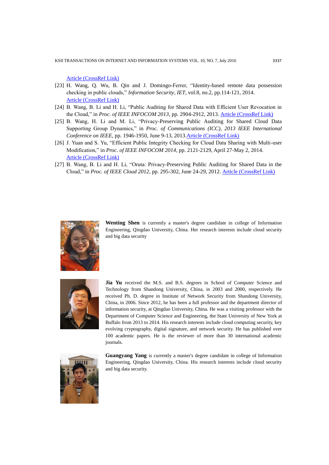[Article \(CrossRef Link\)](http://uclab.khu.ac.kr/resources/publication/J_203.pdf)

- [23] H. Wang, Q. Wu, B. Qin and J. Domingo-Ferrer, "Identity-based remote data possession checking in public clouds," *Information Security*, *IET*, vol.8, no.2, pp.114-121, 2014. [Article \(CrossRef Link\)](http://dx.doi.org/10.1049/iet-ifs.2012.0271)
- [24] B. Wang, B. Li and H. Li, "Public Auditing for Shared Data with Efficient User Revocation in the Cloud," in *Proc. of IEEE INFOCOM 2013*, pp. 2904-2912, 2013. [Article \(CrossRef Link\)](http://dx.doi.org/10.1109/infcom.2013.6567101)
- [25] B. Wang, H. Li and M. Li, "Privacy-Preserving Public Auditing for Shared Cloud Data Supporting Group Dynamics," in *Proc. of Communications (ICC), 2013 IEEE International Conference on IEEE*, pp. 1946-1950, June 9-13, 201[3.Article \(CrossRef Link\)](http://dx.doi.org/10.1109/icc.2013.6654808)
- [26] J. Yuan and S. Yu, "Efficient Public Integrity Checking for Cloud Data Sharing with Multi-user Modification," in *Proc. of IEEE INFOCOM 2014*, pp. 2121-2129, April 27-May 2, 2014. [Article \(CrossRef Link\)](http://dx.doi.org/10.1109/infocom.2014.6848154)
- [27] B. Wang, B. Li and H. Li, "Oruta: Privacy-Preserving Public Auditing for Shared Data in the Cloud," in *Proc. of IEEE Cloud 2012*, pp. 295-302, June 24-29, 2012. [Article \(CrossRef Link\)](http://dx.doi.org/10.1109/cloud.2012.46)



**Wenting Shen** is currently a master's degree candidate in college of Information Engineering, Qingdao University, China. Her research interests include cloud security and big data security



**Jia Yu** received the M.S. and B.S. degrees in School of Computer Science and Technology from Shandong University, China, in 2003 and 2000, respectively. He received Ph. D. degree in Institute of Network Security from Shandong University, China, in 2006. Since 2012, he has been a full professor and the department director of information security, at Qingdao University, China. He was a visiting professor with the Department of Computer Science and Engineering, the State University of New York at Buffalo from 2013 to 2014. His research interests include cloud computing security, key evolving cryptography, digital signature, and network security. He has published over 100 academic papers. He is the reviewer of more than 30 international academic journals.



**Guangyang Yang** is currently a master's degree candidate in college of Information Engineering, Qingdao University, China. His research interests include cloud security and big data security.